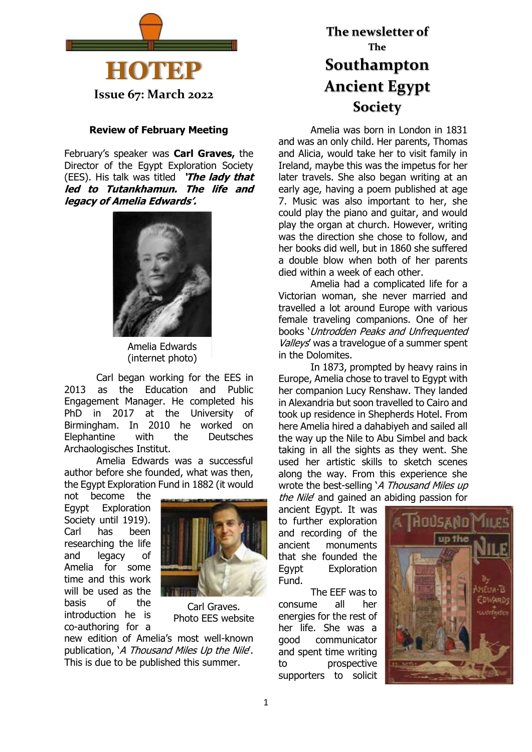

**Issue 67: March 2022**

### **Review of February Meeting**

February's speaker was **Carl Graves,** the Director of the Egypt Exploration Society (EES). His talk was titled **'The lady that led to Tutankhamun. The life and legacy of Amelia Edwards'.**



Amelia Edwards (internet photo)

Carl began working for the EES in 2013 as the Education and Public Engagement Manager. He completed his PhD in 2017 at the University of Birmingham. In 2010 he worked on Elephantine with the Deutsches Archaologisches Institut.

Amelia Edwards was a successful author before she founded, what was then, the Egypt Exploration Fund in 1882 (it would

not become the Egypt Exploration Society until 1919). Carl has been researching the life and legacy of Amelia for some time and this work will be used as the basis of the introduction he is co-authoring for a



Carl Graves. Photo EES website

new edition of Amelia's most well-known publication, 'A Thousand Miles Up the Nile'. This is due to be published this summer.

# **The newsletter of The Southampton Ancient Egypt Society**

Amelia was born in London in 1831 and was an only child. Her parents, Thomas and Alicia, would take her to visit family in Ireland, maybe this was the impetus for her later travels. She also began writing at an early age, having a poem published at age 7. Music was also important to her, she could play the piano and guitar, and would play the organ at church. However, writing was the direction she chose to follow, and her books did well, but in 1860 she suffered a double blow when both of her parents died within a week of each other.

Amelia had a complicated life for a Victorian woman, she never married and travelled a lot around Europe with various female traveling companions. One of her books 'Untrodden Peaks and Unfrequented Valleys' was a travelogue of a summer spent in the Dolomites.

In 1873, prompted by heavy rains in Europe, Amelia chose to travel to Egypt with her companion Lucy Renshaw. They landed in Alexandria but soon travelled to Cairo and took up residence in Shepherds Hotel. From here Amelia hired a dahabiyeh and sailed all the way up the Nile to Abu Simbel and back taking in all the sights as they went. She used her artistic skills to sketch scenes along the way. From this experience she wrote the best-selling 'A Thousand Miles up the Nile' and gained an abiding passion for

ancient Egypt. It was to further exploration and recording of the ancient monuments that she founded the Egypt Exploration Fund.

The EEF was to consume all her energies for the rest of her life. She was a good communicator and spent time writing to prospective supporters to solicit

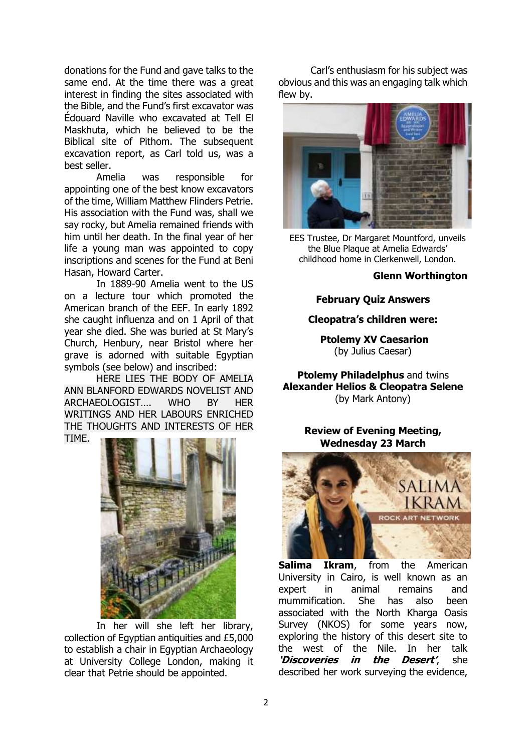donations for the Fund and gave talks to the same end. At the time there was a great interest in finding the sites associated with the Bible, and the Fund's first excavator was Édouard Naville who excavated at Tell El Maskhuta, which he believed to be the Biblical site of Pithom. The subsequent excavation report, as Carl told us, was a best seller.

Amelia was responsible for appointing one of the best know excavators of the time, William Matthew Flinders Petrie. His association with the Fund was, shall we say rocky, but Amelia remained friends with him until her death. In the final year of her life a young man was appointed to copy inscriptions and scenes for the Fund at Beni Hasan, Howard Carter.

In 1889-90 Amelia went to the US on a lecture tour which promoted the American branch of the EEF. In early 1892 she caught influenza and on 1 April of that year she died. She was buried at St Mary's Church, Henbury, near Bristol where her grave is adorned with suitable Egyptian symbols (see below) and inscribed:

HERE LIES THE BODY OF AMELIA ANN BLANFORD EDWARDS NOVELIST AND ARCHAEOLOGIST…. WHO BY HER WRITINGS AND HER LABOURS ENRICHED THE THOUGHTS AND INTERESTS OF HER TIME.



In her will she left her library, collection of Egyptian antiquities and £5,000 to establish a chair in Egyptian Archaeology at University College London, making it clear that Petrie should be appointed.

Carl's enthusiasm for his subject was obvious and this was an engaging talk which flew by.



EES Trustee, Dr Margaret Mountford, unveils the Blue Plaque at Amelia Edwards' childhood home in Clerkenwell, London.

#### **Glenn Worthington**

### **February Quiz Answers**

### **Cleopatra's children were:**

**Ptolemy XV Caesarion** (by Julius Caesar)

**Ptolemy Philadelphus** and twins **Alexander Helios & Cleopatra Selene**  (by Mark Antony)

### **Review of Evening Meeting, Wednesday 23 March**



**Salima Ikram**, from the American University in Cairo, is well known as an expert in animal remains and mummification. She has also been associated with the North Kharga Oasis Survey (NKOS) for some years now, exploring the history of this desert site to the west of the Nile. In her talk **'Discoveries in the Desert'**, she described her work surveying the evidence,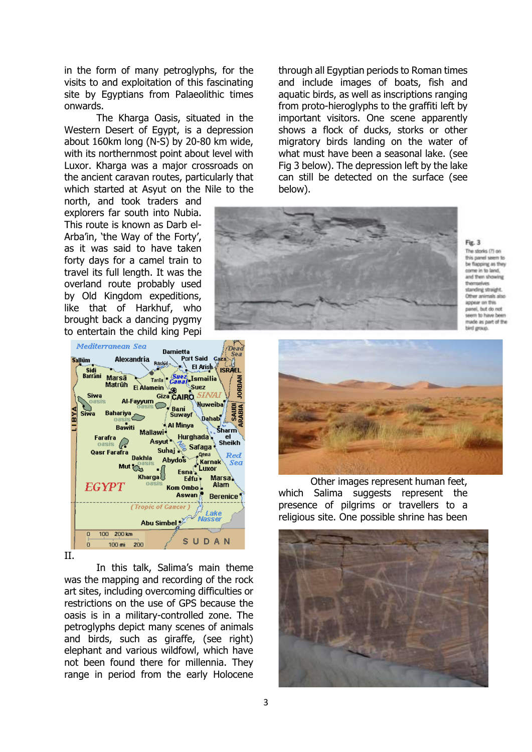in the form of many petroglyphs, for the visits to and exploitation of this fascinating site by Egyptians from Palaeolithic times onwards.

The Kharga Oasis, situated in the Western Desert of Egypt, is a depression about 160km long (N-S) by 20-80 km wide, with its northernmost point about level with Luxor. Kharga was a major crossroads on the ancient caravan routes, particularly that which started at Asyut on the Nile to the

north, and took traders and explorers far south into Nubia. This route is known as Darb el-Arba'in, 'the Way of the Forty', as it was said to have taken forty days for a camel train to travel its full length. It was the overland route probably used by Old Kingdom expeditions, like that of Harkhuf, who brought back a dancing pygmy to entertain the child king Pepi



II.

In this talk, Salima's main theme was the mapping and recording of the rock art sites, including overcoming difficulties or restrictions on the use of GPS because the oasis is in a military-controlled zone. The petroglyphs depict many scenes of animals and birds, such as giraffe, (see right) elephant and various wildfowl, which have not been found there for millennia. They range in period from the early Holocene

through all Egyptian periods to Roman times and include images of boats, fish and aquatic birds, as well as inscriptions ranging from proto-hieroglyphs to the graffiti left by important visitors. One scene apparently shows a flock of ducks, storks or other migratory birds landing on the water of what must have been a seasonal lake. (see Fig 3 below). The depression left by the lake can still be detected on the surface (see below).



Fig. 3 The storks (7) on this panel seem to be flapping as they and them showing standing straight Other animals also annear no this panel, but do not pen to have been made as part of the bird group.



Other images represent human feet, which Salima suggests represent the presence of pilgrims or travellers to a religious site. One possible shrine has been

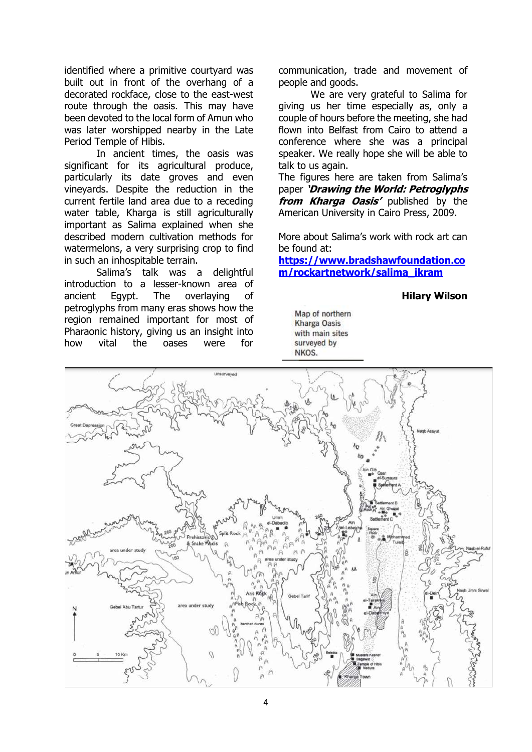identified where a primitive courtyard was built out in front of the overhang of a decorated rockface, close to the east-west route through the oasis. This may have been devoted to the local form of Amun who was later worshipped nearby in the Late Period Temple of Hibis.

In ancient times, the oasis was significant for its agricultural produce, particularly its date groves and even vineyards. Despite the reduction in the current fertile land area due to a receding water table, Kharga is still agriculturally important as Salima explained when she described modern cultivation methods for watermelons, a very surprising crop to find in such an inhospitable terrain.

Salima's talk was a delightful introduction to a lesser-known area of ancient Egypt. The overlaying of petroglyphs from many eras shows how the region remained important for most of Pharaonic history, giving us an insight into how vital the oases were for

communication, trade and movement of people and goods.

We are very grateful to Salima for giving us her time especially as, only a couple of hours before the meeting, she had flown into Belfast from Cairo to attend a conference where she was a principal speaker. We really hope she will be able to talk to us again.

The figures here are taken from Salima's paper **'Drawing the World: Petroglyphs from Kharga Oasis'** published by the American University in Cairo Press, 2009.

More about Salima's work with rock art can be found at:

**[https://www.bradshawfoundation.co](https://www.bradshawfoundation.com/rockartnetwork/salima_ikram) [m/rockartnetwork/salima\\_ikram](https://www.bradshawfoundation.com/rockartnetwork/salima_ikram)**

### **Hilary Wilson**

Map of northern **Kharga Oasis** with main sites surveyed by NKOS.

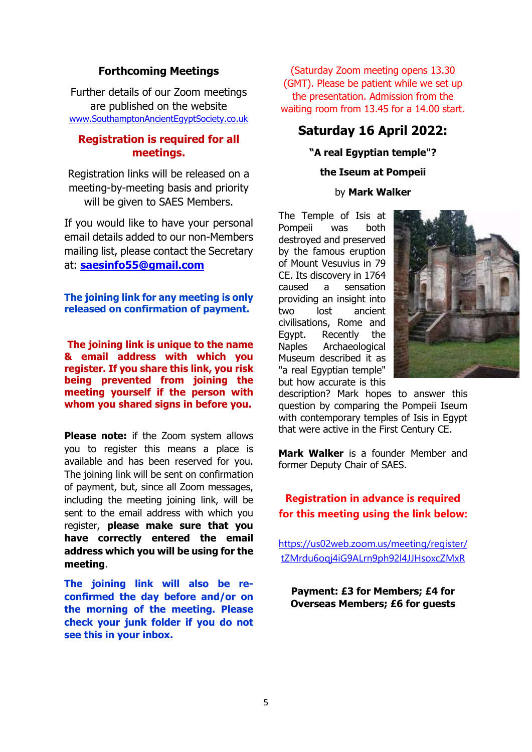## **Forthcoming Meetings**

Further details of our Zoom meetings are published on the website [www.SouthamptonAncientEgyptSociety.co.uk](http://www.southamptonancientegyptsociety.co.uk/)

## **Registration is required for all meetings.**

Registration links will be released on a meeting-by-meeting basis and priority will be given to SAES Members.

If you would like to have your personal email details added to our non-Members mailing list, please contact the Secretary at: **[saesinfo55@gmail.com](mailto:saesinfo55@gmail.com)**

**The joining link for any meeting is only released on confirmation of payment.**

**The joining link is unique to the name & email address with which you register. If you share this link, you risk being prevented from joining the meeting yourself if the person with whom you shared signs in before you.**

**Please note:** if the Zoom system allows you to register this means a place is available and has been reserved for you. The joining link will be sent on confirmation of payment, but, since all Zoom messages, including the meeting joining link, will be sent to the email address with which you register, **please make sure that you have correctly entered the email address which you will be using for the meeting**.

**The joining link will also be reconfirmed the day before and/or on the morning of the meeting. Please check your junk folder if you do not see this in your inbox.**

(Saturday Zoom meeting opens 13.30 (GMT). Please be patient while we set up the presentation. Admission from the waiting room from 13.45 for a 14.00 start.

# **Saturday 16 April 2022:**

# **"A real Egyptian temple"? the Iseum at Pompeii** by **Mark Walker**

The Temple of Isis at Pompeii was both destroyed and preserved by the famous eruption of Mount Vesuvius in 79 CE. Its discovery in 1764 caused a sensation providing an insight into two lost ancient civilisations, Rome and Egypt. Recently the Naples Archaeological Museum described it as "a real Egyptian temple" but how accurate is this



description? Mark hopes to answer this question by comparing the Pompeii Iseum with contemporary temples of Isis in Egypt that were active in the First Century CE.

**Mark Walker** is a founder Member and former Deputy Chair of SAES.

# **Registration in advance is required for this meeting using the link below:**

[https://us02web.zoom.us/meeting/register/](https://us02web.zoom.us/meeting/register/tZMrdu6oqj4iG9ALrn9ph92l4JJHsoxcZMxR) [tZMrdu6oqj4iG9ALrn9ph92l4JJHsoxcZMxR](https://us02web.zoom.us/meeting/register/tZMrdu6oqj4iG9ALrn9ph92l4JJHsoxcZMxR)

**Payment: £3 for Members; £4 for Overseas Members; £6 for guests**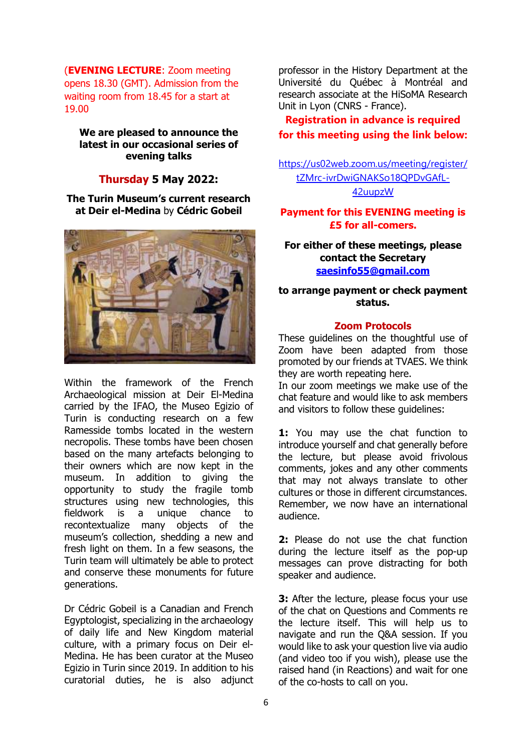(**EVENING LECTURE**: Zoom meeting opens 18.30 (GMT). Admission from the waiting room from 18.45 for a start at 19.00

**We are pleased to announce the latest in our occasional series of evening talks**

### **Thursday 5 May 2022:**

**The Turin Museum's current research at Deir el-Medina** by **Cédric Gobeil**



Within the framework of the French Archaeological mission at Deir El-Medina carried by the IFAO, the Museo Egizio of Turin is conducting research on a few Ramesside tombs located in the western necropolis. These tombs have been chosen based on the many artefacts belonging to their owners which are now kept in the museum. In addition to giving the opportunity to study the fragile tomb structures using new technologies, this fieldwork is a unique chance to recontextualize many objects of the museum's collection, shedding a new and fresh light on them. In a few seasons, the Turin team will ultimately be able to protect and conserve these monuments for future generations.

Dr Cédric Gobeil is a Canadian and French Egyptologist, specializing in the archaeology of daily life and New Kingdom material culture, with a primary focus on Deir el-Medina. He has been curator at the Museo Egizio in Turin since 2019. In addition to his curatorial duties, he is also adjunct professor in the History Department at the Université du Québec à Montréal and research associate at the HiSoMA Research Unit in Lyon (CNRS - France).

# **Registration in advance is required for this meeting using the link below:**

[https://us02web.zoom.us/meeting/register/](https://us02web.zoom.us/meeting/register/tZMrc-ivrDwiGNAKSo18QPDvGAfL-42uupzW) [tZMrc-ivrDwiGNAKSo18QPDvGAfL-](https://us02web.zoom.us/meeting/register/tZMrc-ivrDwiGNAKSo18QPDvGAfL-42uupzW)[42uupzW](https://us02web.zoom.us/meeting/register/tZMrc-ivrDwiGNAKSo18QPDvGAfL-42uupzW)

### **Payment for this EVENING meeting is £5 for all-comers.**

### **For either of these meetings, please contact the Secretary [saesinfo55@gmail.com](mailto:saesinfo55@gmail.com)**

### **to arrange payment or check payment status.**

#### **Zoom Protocols**

These guidelines on the thoughtful use of Zoom have been adapted from those promoted by our friends at TVAES. We think they are worth repeating here.

In our zoom meetings we make use of the chat feature and would like to ask members and visitors to follow these guidelines:

**1:** You may use the chat function to introduce yourself and chat generally before the lecture, but please avoid frivolous comments, jokes and any other comments that may not always translate to other cultures or those in different circumstances. Remember, we now have an international audience.

**2:** Please do not use the chat function during the lecture itself as the pop-up messages can prove distracting for both speaker and audience.

**3:** After the lecture, please focus your use of the chat on Questions and Comments re the lecture itself. This will help us to navigate and run the Q&A session. If you would like to ask your question live via audio (and video too if you wish), please use the raised hand (in Reactions) and wait for one of the co-hosts to call on you.